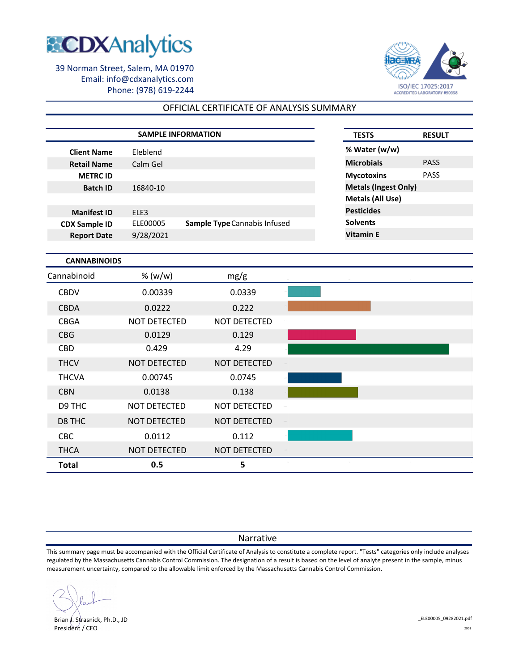



# OFFICIAL CERTIFICATE OF ANALYSIS SUMMARY

|                      | <b>SAMPLE INFORMATION</b> |                              | <b>TESTS</b>                | <b>RESULT</b> |
|----------------------|---------------------------|------------------------------|-----------------------------|---------------|
| <b>Client Name</b>   | Eleblend                  |                              | % Water (w/w)               |               |
| <b>Retail Name</b>   | Calm Gel                  |                              | <b>Microbials</b>           | <b>PASS</b>   |
| <b>METRC ID</b>      |                           |                              | <b>Mycotoxins</b>           | <b>PASS</b>   |
| <b>Batch ID</b>      | 16840-10                  |                              | <b>Metals (Ingest Only)</b> |               |
|                      |                           |                              | Metals (All Use)            |               |
| <b>Manifest ID</b>   | ELE3                      |                              | <b>Pesticides</b>           |               |
| <b>CDX Sample ID</b> | ELE00005                  | Sample Type Cannabis Infused | <b>Solvents</b>             |               |
| <b>Report Date</b>   | 9/28/2021                 |                              | <b>Vitamin E</b>            |               |
|                      |                           |                              |                             |               |
| <b>CANNABINOIDS</b>  |                           |                              |                             |               |
| Cannabinoid          | % $(w/w)$                 | mg/g                         |                             |               |
| <b>CBDV</b>          | 0.00339                   | 0.0339                       |                             |               |
| <b>CBDA</b>          | 0.0222                    | 0.222                        |                             |               |
| <b>CBGA</b>          | <b>NOT DETECTED</b>       | <b>NOT DETECTED</b>          |                             |               |
| <b>CBG</b>           | 0.0129                    | 0.129                        |                             |               |

| <b>Total</b> | 0.5                 | 5                   |  |
|--------------|---------------------|---------------------|--|
| <b>THCA</b>  | NOT DETECTED        | NOT DETECTED        |  |
| CBC          | 0.0112              | 0.112               |  |
| D8 THC       | NOT DETECTED        | NOT DETECTED        |  |
| D9 THC       | <b>NOT DETECTED</b> | <b>NOT DETECTED</b> |  |
| <b>CBN</b>   | 0.0138              | 0.138               |  |
| <b>THCVA</b> | 0.00745             | 0.0745              |  |
| <b>THCV</b>  | <b>NOT DETECTED</b> | NOT DETECTED        |  |
| <b>CBD</b>   | 0.429               | 4.29                |  |
| CBG          | 0.0129              | 0.129               |  |
|              |                     |                     |  |

### Narrative

This summary page must be accompanied with the Official Certificate of Analysis to constitute a complete report. "Tests" categories only include analyses regulated by the Massachusetts Cannabis Control Commission. The designation of a result is based on the level of analyte present in the sample, minus measurement uncertainty, compared to the allowable limit enforced by the Massachusetts Cannabis Control Commission.

Brian J. Strasnick, Ph.D., JD President / CEO

\_ELE00005\_09282021.pdf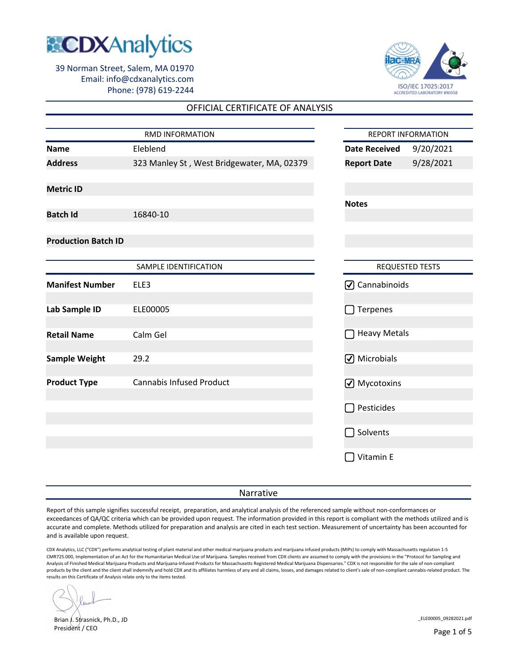



### OFFICIAL CERTIFICATE OF ANALYSIS

|                            |                                            |                            | <b>REPORT INFORMATION</b> |
|----------------------------|--------------------------------------------|----------------------------|---------------------------|
| <b>Name</b>                | Eleblend                                   | <b>Date Received</b>       | 9/20/2021                 |
| <b>Address</b>             | 323 Manley St, West Bridgewater, MA, 02379 | <b>Report Date</b>         | 9/28/2021                 |
| <b>Metric ID</b>           |                                            |                            |                           |
|                            |                                            | <b>Notes</b>               |                           |
| <b>Batch Id</b>            | 16840-10                                   |                            |                           |
| <b>Production Batch ID</b> |                                            |                            |                           |
|                            | SAMPLE IDENTIFICATION                      |                            | <b>REQUESTED TESTS</b>    |
| <b>Manifest Number</b>     | ELE3                                       | ☑ Cannabinoids             |                           |
| Lab Sample ID              | ELE00005                                   | Terpenes<br>$\sim$         |                           |
| <b>Retail Name</b>         | Calm Gel                                   | <b>Heavy Metals</b>        |                           |
| <b>Sample Weight</b>       | 29.2                                       | ☑ Microbials               |                           |
| <b>Product Type</b>        | <b>Cannabis Infused Product</b>            | ☑ Mycotoxins               |                           |
|                            |                                            | Pesticides                 |                           |
|                            |                                            | Solvents<br>$\blacksquare$ |                           |
|                            |                                            | Vitamin E                  |                           |

#### Narrative

Report of this sample signifies successful receipt, preparation, and analytical analysis of the referenced sample without non-conformances or exceedances of QA/QC criteria which can be provided upon request. The information provided in this report is compliant with the methods utilized and is accurate and complete. Methods utilized for preparation and analysis are cited in each test section. Measurement of uncertainty has been accounted for and is available upon request.

CDX Analytics, LLC ("CDX") performs analytical testing of plant material and other medical marijuana products and marijuana infused products (MIPs) to comply with Massachusetts regulation 1-5 CMR725.000, Implementation of an Act for the Humanitarian Medical Use of Marijuana. Samples received from CDX clients are assumed to comply with the provisions in the "Protocol for Sampling and Analysis of Finished Medical Marijuana Products and Marijuana-Infused Products for Massachusetts Registered Medical Marijuana Dispensaries." CDX is not responsible for the sale of non-compliant products by the client and the client shall indemnify and hold CDX and its affiliates harmless of any and all claims, losses, and damages related to client's sale of non-compliant cannabis-related product. The results on this Certificate of Analysis relate only to the items tested.

Brian J. Strasnick, Ph.D., JD President / CEO

\_ELE00005\_09282021.pdf

Page 1 of 5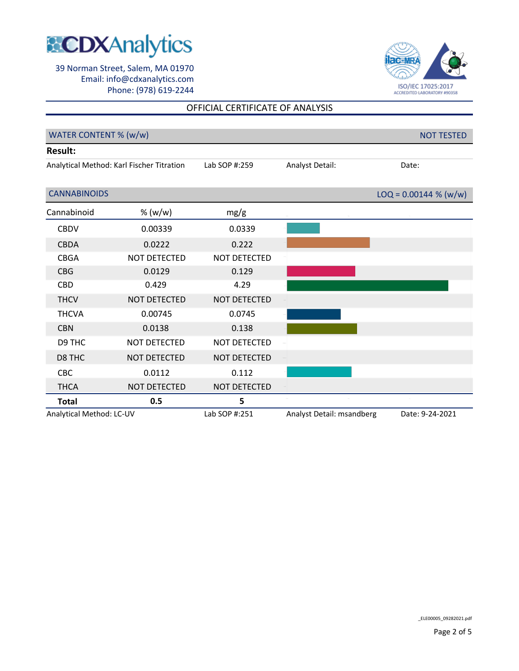



## OFFICIAL CERTIFICATE OF ANALYSIS

| WATER CONTENT % (w/w)                     |              |               | <b>NOT TESTED</b>         |                         |
|-------------------------------------------|--------------|---------------|---------------------------|-------------------------|
| <b>Result:</b>                            |              |               |                           |                         |
| Analytical Method: Karl Fischer Titration |              | Lab SOP #:259 | Analyst Detail:           | Date:                   |
|                                           |              |               |                           |                         |
| <b>CANNABINOIDS</b>                       |              |               |                           | $LOQ = 0.00144 % (w/w)$ |
| Cannabinoid                               | % (w/w)      | mg/g          |                           |                         |
| <b>CBDV</b>                               | 0.00339      | 0.0339        |                           |                         |
| <b>CBDA</b>                               | 0.0222       | 0.222         |                           |                         |
| <b>CBGA</b>                               | NOT DETECTED | NOT DETECTED  |                           |                         |
| <b>CBG</b>                                | 0.0129       | 0.129         |                           |                         |
| <b>CBD</b>                                | 0.429        | 4.29          |                           |                         |
| <b>THCV</b>                               | NOT DETECTED | NOT DETECTED  |                           |                         |
| <b>THCVA</b>                              | 0.00745      | 0.0745        |                           |                         |
| <b>CBN</b>                                | 0.0138       | 0.138         |                           |                         |
| D9 THC                                    | NOT DETECTED | NOT DETECTED  |                           |                         |
| D8 THC                                    | NOT DETECTED | NOT DETECTED  |                           |                         |
| <b>CBC</b>                                | 0.0112       | 0.112         |                           |                         |
| <b>THCA</b>                               | NOT DETECTED | NOT DETECTED  |                           |                         |
| <b>Total</b>                              | 0.5          | 5             |                           |                         |
| Analytical Method: LC-UV                  |              | Lab SOP #:251 | Analyst Detail: msandberg | Date: 9-24-2021         |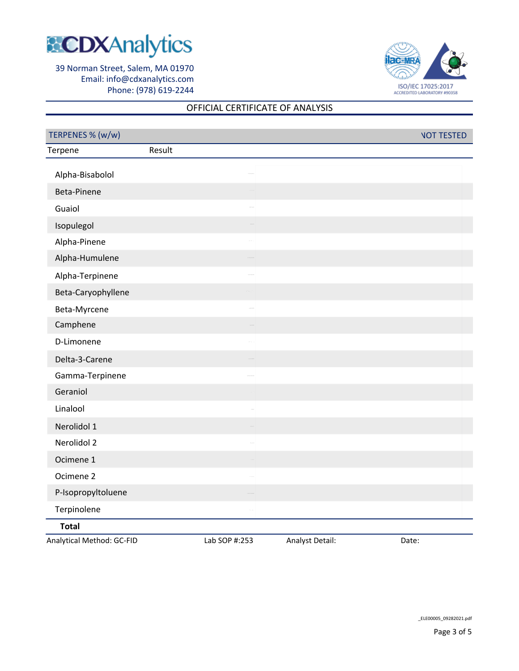



# OFFICIAL CERTIFICATE OF ANALYSIS

| TERPENES % (w/w)          |               |                 |       | <b>NOT TESTED</b> |
|---------------------------|---------------|-----------------|-------|-------------------|
| Terpene                   | Result        |                 |       |                   |
| Alpha-Bisabolol           |               |                 |       |                   |
| Beta-Pinene               |               |                 |       |                   |
| Guaiol                    |               |                 |       |                   |
| Isopulegol                |               |                 |       |                   |
| Alpha-Pinene              |               |                 |       |                   |
| Alpha-Humulene            |               |                 |       |                   |
| Alpha-Terpinene           |               |                 |       |                   |
| Beta-Caryophyllene        |               |                 |       |                   |
| Beta-Myrcene              |               |                 |       |                   |
| Camphene                  |               |                 |       |                   |
| D-Limonene                |               |                 |       |                   |
| Delta-3-Carene            |               |                 |       |                   |
| Gamma-Terpinene           |               |                 |       |                   |
| Geraniol                  |               |                 |       |                   |
| Linalool                  |               |                 |       |                   |
| Nerolidol 1               |               |                 |       |                   |
| Nerolidol 2               |               |                 |       |                   |
| Ocimene 1                 |               |                 |       |                   |
| Ocimene 2                 |               |                 |       |                   |
| P-Isopropyltoluene        |               |                 |       |                   |
| Terpinolene               |               |                 |       |                   |
| <b>Total</b>              |               |                 |       |                   |
| Analytical Method: GC-FID | Lab SOP #:253 | Analyst Detail: | Date: |                   |

\_ELE00005\_09282021.pdf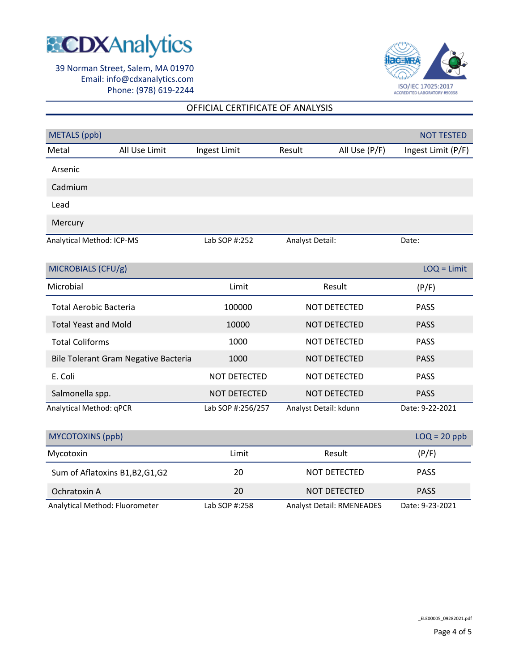



## OFFICIAL CERTIFICATE OF ANALYSIS

| <b>METALS</b> (ppb)           |                                      |                   |                       |               | <b>NOT TESTED</b>  |
|-------------------------------|--------------------------------------|-------------------|-----------------------|---------------|--------------------|
| Metal                         | All Use Limit                        | Ingest Limit      | Result                | All Use (P/F) | Ingest Limit (P/F) |
| Arsenic                       |                                      |                   |                       |               |                    |
| Cadmium                       |                                      |                   |                       |               |                    |
| Lead                          |                                      |                   |                       |               |                    |
| Mercury                       |                                      |                   |                       |               |                    |
| Analytical Method: ICP-MS     |                                      | Lab SOP #:252     | Analyst Detail:       |               | Date:              |
| MICROBIALS (CFU/g)            |                                      |                   |                       |               | $LOQ = Limit$      |
| Microbial                     |                                      | Limit             |                       | Result        | (P/F)              |
| <b>Total Aerobic Bacteria</b> |                                      | 100000            |                       | NOT DETECTED  | <b>PASS</b>        |
| <b>Total Yeast and Mold</b>   |                                      | 10000             |                       | NOT DETECTED  | <b>PASS</b>        |
| <b>Total Coliforms</b>        |                                      | 1000              | NOT DETECTED          |               | <b>PASS</b>        |
|                               | Bile Tolerant Gram Negative Bacteria | 1000              | NOT DETECTED          |               | <b>PASS</b>        |
| E. Coli                       |                                      | NOT DETECTED      | NOT DETECTED          |               | <b>PASS</b>        |
| Salmonella spp.               |                                      | NOT DETECTED      |                       | NOT DETECTED  | <b>PASS</b>        |
| Analytical Method: qPCR       |                                      | Lab SOP #:256/257 | Analyst Detail: kdunn |               | Date: 9-22-2021    |
| <b>MYCOTOXINS (ppb)</b>       |                                      |                   |                       |               | $LOQ = 20$ ppb     |
| Mycotoxin                     |                                      | Limit             |                       | Result        | (P/F)              |
|                               | Sum of Aflatoxins B1, B2, G1, G2     | 20                |                       | NOT DETECTED  | <b>PASS</b>        |
| Ochratoxin A                  |                                      | 20                | NOT DETECTED          |               | <b>PASS</b>        |

Analytical Method: Fluorometer Lab SOP #:258 Analyst Detail: RMENEADES

\_ELE00005\_09282021.pdf

Date: 9-23-2021